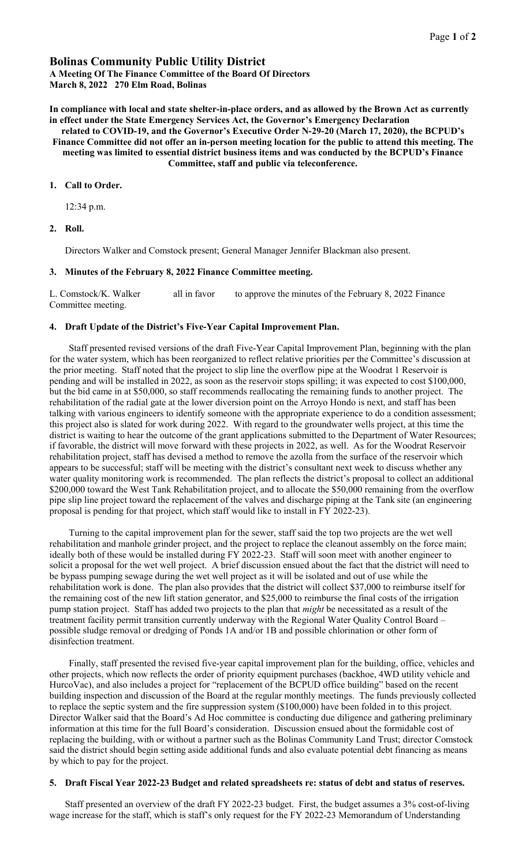# Bolinas Community Public Utility District

A Meeting Of The Finance Committee of the Board Of Directors March 8, 2022 270 Elm Road, Bolinas

In compliance with local and state shelter-in-place orders, and as allowed by the Brown Act as currently in effect under the State Emergency Services Act, the Governor's Emergency Declaration

related to COVID-19, and the Governor's Executive Order N-29-20 (March 17, 2020), the BCPUD's Finance Committee did not offer an in-person meeting location for the public to attend this meeting. The meeting was limited to essential district business items and was conducted by the BCPUD's Finance Committee, staff and public via teleconference.

## 1. Call to Order.

12:34 p.m.

### 2. Roll.

Directors Walker and Comstock present; General Manager Jennifer Blackman also present.

### 3. Minutes of the February 8, 2022 Finance Committee meeting.

L. Comstock/K. Walker all in favor to approve the minutes of the February 8, 2022 Finance Committee meeting.

### 4. Draft Update of the District's Five-Year Capital Improvement Plan.

Staff presented revised versions of the draft Five-Year Capital Improvement Plan, beginning with the plan for the water system, which has been reorganized to reflect relative priorities per the Committee's discussion at the prior meeting. Staff noted that the project to slip line the overflow pipe at the Woodrat 1 Reservoir is pending and will be installed in 2022, as soon as the reservoir stops spilling; it was expected to cost \$100,000, but the bid came in at \$50,000, so staff recommends reallocating the remaining funds to another project. The rehabilitation of the radial gate at the lower diversion point on the Arroyo Hondo is next, and staff has been talking with various engineers to identify someone with the appropriate experience to do a condition assessment; this project also is slated for work during 2022. With regard to the groundwater wells project, at this time the district is waiting to hear the outcome of the grant applications submitted to the Department of Water Resources; if favorable, the district will move forward with these projects in 2022, as well. As for the Woodrat Reservoir rehabilitation project, staff has devised a method to remove the azolla from the surface of the reservoir which appears to be successful; staff will be meeting with the district's consultant next week to discuss whether any water quality monitoring work is recommended. The plan reflects the district's proposal to collect an additional \$200,000 toward the West Tank Rehabilitation project, and to allocate the \$50,000 remaining from the overflow pipe slip line project toward the replacement of the valves and discharge piping at the Tank site (an engineering proposal is pending for that project, which staff would like to install in FY 2022-23).

Turning to the capital improvement plan for the sewer, staff said the top two projects are the wet well rehabilitation and manhole grinder project, and the project to replace the cleanout assembly on the force main; ideally both of these would be installed during FY 2022-23. Staff will soon meet with another engineer to solicit a proposal for the wet well project. A brief discussion ensued about the fact that the district will need to be bypass pumping sewage during the wet well project as it will be isolated and out of use while the rehabilitation work is done. The plan also provides that the district will collect \$37,000 to reimburse itself for the remaining cost of the new lift station generator, and \$25,000 to reimburse the final costs of the irrigation pump station project. Staff has added two projects to the plan that *might* be necessitated as a result of the treatment facility permit transition currently underway with the Regional Water Quality Control Board – possible sludge removal or dredging of Ponds 1A and/or 1B and possible chlorination or other form of disinfection treatment.

Finally, staff presented the revised five-year capital improvement plan for the building, office, vehicles and other projects, which now reflects the order of priority equipment purchases (backhoe, 4WD utility vehicle and HurcoVac), and also includes a project for "replacement of the BCPUD office building" based on the recent building inspection and discussion of the Board at the regular monthly meetings. The funds previously collected to replace the septic system and the fire suppression system (\$100,000) have been folded in to this project. Director Walker said that the Board's Ad Hoc committee is conducting due diligence and gathering preliminary information at this time for the full Board's consideration. Discussion ensued about the formidable cost of replacing the building, with or without a partner such as the Bolinas Community Land Trust; director Comstock said the district should begin setting aside additional funds and also evaluate potential debt financing as means by which to pay for the project.

#### 5. Draft Fiscal Year 2022-23 Budget and related spreadsheets re: status of debt and status of reserves.

Staff presented an overview of the draft FY 2022-23 budget. First, the budget assumes a 3% cost-of-living wage increase for the staff, which is staff's only request for the FY 2022-23 Memorandum of Understanding